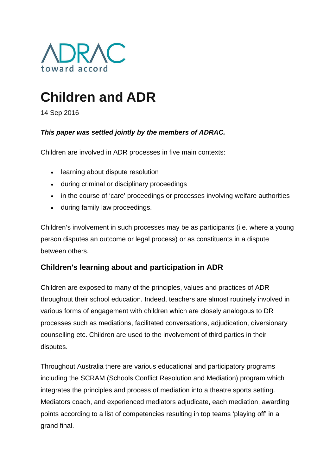

# **Children and ADR**

14 Sep 2016

#### *This paper was settled jointly by the members of ADRAC.*

Children are involved in ADR processes in five main contexts:

- learning about dispute resolution
- during criminal or disciplinary proceedings
- in the course of 'care' proceedings or processes involving welfare authorities
- during family law proceedings.

Children's involvement in such processes may be as participants (i.e. where a young person disputes an outcome or legal process) or as constituents in a dispute between others.

# **Children's learning about and participation in ADR**

Children are exposed to many of the principles, values and practices of ADR throughout their school education. Indeed, teachers are almost routinely involved in various forms of engagement with children which are closely analogous to DR processes such as mediations, facilitated conversations, adjudication, diversionary counselling etc. Children are used to the involvement of third parties in their disputes.

Throughout Australia there are various educational and participatory programs including the SCRAM (Schools Conflict Resolution and Mediation) program which integrates the principles and process of mediation into a theatre sports setting. Mediators coach, and experienced mediators adjudicate, each mediation, awarding points according to a list of competencies resulting in top teams 'playing off' in a grand final.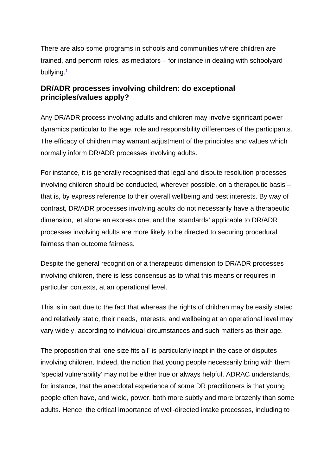There are also some programs in schools and communities where children are trained, and perform roles, as mediators – for instance in dealing with schoolyard bullying.<sup>1</sup>

#### **DR/ADR processes involving children: do exceptional principles/values apply?**

Any DR/ADR process involving adults and children may involve significant power dynamics particular to the age, role and responsibility differences of the participants. The efficacy of children may warrant adjustment of the principles and values which normally inform DR/ADR processes involving adults.

For instance, it is generally recognised that legal and dispute resolution processes involving children should be conducted, wherever possible, on a therapeutic basis – that is, by express reference to their overall wellbeing and best interests. By way of contrast, DR/ADR processes involving adults do not necessarily have a therapeutic dimension, let alone an express one; and the 'standards' applicable to DR/ADR processes involving adults are more likely to be directed to securing procedural fairness than outcome fairness.

Despite the general recognition of a therapeutic dimension to DR/ADR processes involving children, there is less consensus as to what this means or requires in particular contexts, at an operational level.

This is in part due to the fact that whereas the rights of children may be easily stated and relatively static, their needs, interests, and wellbeing at an operational level may vary widely, according to individual circumstances and such matters as their age.

The proposition that 'one size fits all' is particularly inapt in the case of disputes involving children. Indeed, the notion that young people necessarily bring with them 'special vulnerability' may not be either true or always helpful. ADRAC understands, for instance, that the anecdotal experience of some DR practitioners is that young people often have, and wield, power, both more subtly and more brazenly than some adults. Hence, the critical importance of well-directed intake processes, including to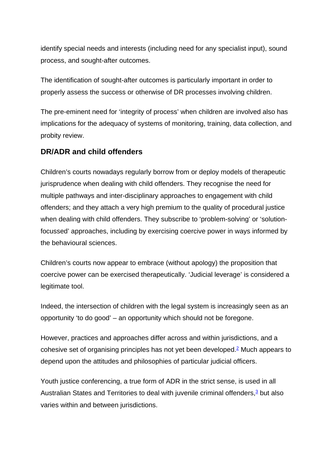identify special needs and interests (including need for any specialist input), sound process, and sought-after outcomes.

The identification of sought-after outcomes is particularly important in order to properly assess the success or otherwise of DR processes involving children.

The pre-eminent need for 'integrity of process' when children are involved also has implications for the adequacy of systems of monitoring, training, data collection, and probity review.

### **DR/ADR and child offenders**

Children's courts nowadays regularly borrow from or deploy models of therapeutic jurisprudence when dealing with child offenders. They recognise the need for multiple pathways and inter-disciplinary approaches to engagement with child offenders; and they attach a very high premium to the quality of procedural justice when dealing with child offenders. They subscribe to 'problem-solving' or 'solutionfocussed' approaches, including by exercising coercive power in ways informed by the behavioural sciences.

Children's courts now appear to embrace (without apology) the proposition that coercive power can be exercised therapeutically. 'Judicial leverage' is considered a legitimate tool.

Indeed, the intersection of children with the legal system is increasingly seen as an opportunity 'to do good' – an opportunity which should not be foregone.

However, practices and approaches differ across and within jurisdictions, and a cohesive set of organising principles has not yet been developed[.2](http://www.adrac.org.au/adr-mapping/children-and-adr#note2) Much appears to depend upon the attitudes and philosophies of particular judicial officers.

Youth justice conferencing, a true form of ADR in the strict sense, is used in all Australian States and Territories to deal with juvenile criminal offenders, $3$  but also varies within and between jurisdictions.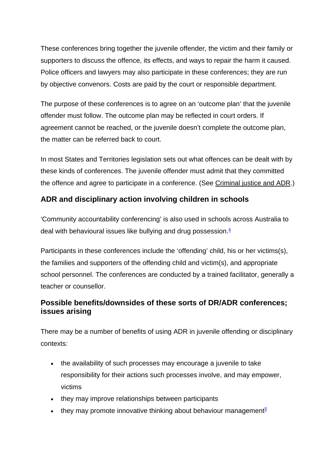These conferences bring together the juvenile offender, the victim and their family or supporters to discuss the offence, its effects, and ways to repair the harm it caused. Police officers and lawyers may also participate in these conferences; they are run by objective convenors. Costs are paid by the court or responsible department.

The purpose of these conferences is to agree on an 'outcome plan' that the juvenile offender must follow. The outcome plan may be reflected in court orders. If agreement cannot be reached, or the juvenile doesn't complete the outcome plan, the matter can be referred back to court.

In most States and Territories legislation sets out what offences can be dealt with by these kinds of conferences. The juvenile offender must admit that they committed the offence and agree to participate in a conference. (See Criminal justice and ADR.)

### **ADR and disciplinary action involving children in schools**

'Community accountability conferencing' is also used in schools across Australia to deal with behavioural issues like bullying and drug possession. $4$ 

Participants in these conferences include the 'offending' child, his or her victims(s), the families and supporters of the offending child and victim(s), and appropriate school personnel. The conferences are conducted by a trained facilitator, generally a teacher or counsellor.

## **Possible benefits/downsides of these sorts of DR/ADR conferences; issues arising**

There may be a number of benefits of using ADR in juvenile offending or disciplinary contexts:

- the availability of such processes may encourage a juvenile to take responsibility for their actions such processes involve, and may empower, victims
- they may improve relationships between participants
- they may promote innovative thinking about behaviour management<sup>5</sup>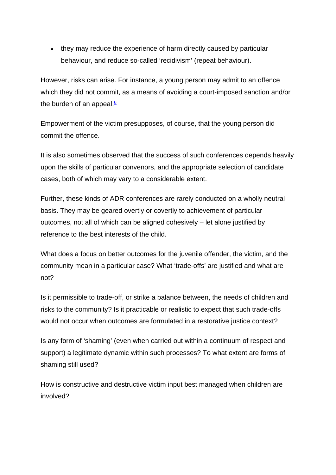• they may reduce the experience of harm directly caused by particular behaviour, and reduce so-called 'recidivism' (repeat behaviour).

However, risks can arise. For instance, a young person may admit to an offence which they did not commit, as a means of avoiding a court-imposed sanction and/or the burden of an appeal. $6$ 

Empowerment of the victim presupposes, of course, that the young person did commit the offence.

It is also sometimes observed that the success of such conferences depends heavily upon the skills of particular convenors, and the appropriate selection of candidate cases, both of which may vary to a considerable extent.

Further, these kinds of ADR conferences are rarely conducted on a wholly neutral basis. They may be geared overtly or covertly to achievement of particular outcomes, not all of which can be aligned cohesively – let alone justified by reference to the best interests of the child.

What does a focus on better outcomes for the juvenile offender, the victim, and the community mean in a particular case? What 'trade-offs' are justified and what are not?

Is it permissible to trade-off, or strike a balance between, the needs of children and risks to the community? Is it practicable or realistic to expect that such trade-offs would not occur when outcomes are formulated in a restorative justice context?

Is any form of 'shaming' (even when carried out within a continuum of respect and support) a legitimate dynamic within such processes? To what extent are forms of shaming still used?

How is constructive and destructive victim input best managed when children are involved?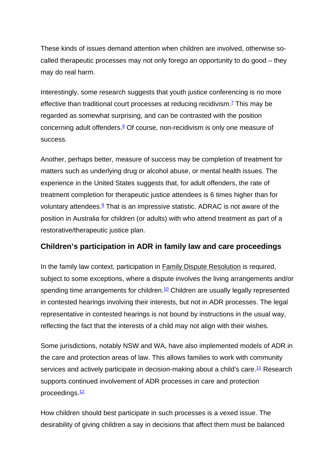These kinds of issues demand attention when children are involved, otherwise socalled therapeutic processes may not only forego an opportunity to do good – they may do real harm.

Interestingly, some research suggests that youth justice conferencing is no more effective than traditional court processes at reducing recidivism.<sup> $7$ </sup> This may be regarded as somewhat surprising, and can be contrasted with the position concerning adult offenders. $8$  Of course, non-recidivism is only one measure of success.

Another, perhaps better, measure of success may be completion of treatment for matters such as underlying drug or alcohol abuse, or mental health issues. The experience in the United States suggests that, for adult offenders, the rate of treatment completion for therapeutic justice attendees is 6 times higher than for voluntary attendees. $9$  That is an impressive statistic. ADRAC is not aware of the position in Australia for children (or adults) with who attend treatment as part of a restorative/therapeutic justice plan.

#### **Children's participation in ADR in family law and care proceedings**

In the family law context, participation in Family Dispute Resolution is required, subject to some exceptions, where a dispute involves the living arrangements and/or spending time arrangements for children.<sup>[10](http://www.adrac.org.au/adr-mapping/children-and-adr#note10)</sup> Children are usually legally represented in contested hearings involving their interests, but not in ADR processes. The legal representative in contested hearings is not bound by instructions in the usual way, reflecting the fact that the interests of a child may not align with their wishes.

Some jurisdictions, notably NSW and WA, have also implemented models of ADR in the care and protection areas of law. This allows families to work with community services and actively participate in decision-making about a child's care.<sup>11</sup> Research supports continued involvement of ADR processes in care and protection proceedings. $\frac{12}{2}$ 

How children should best participate in such processes is a vexed issue. The desirability of giving children a say in decisions that affect them must be balanced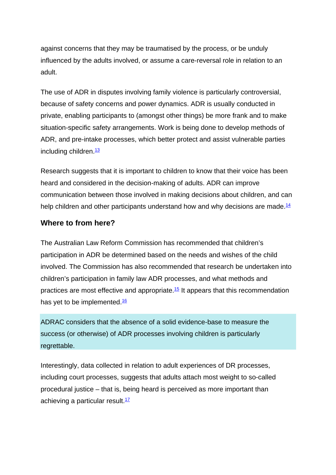against concerns that they may be traumatised by the process, or be unduly influenced by the adults involved, or assume a care-reversal role in relation to an adult.

The use of ADR in disputes involving family violence is particularly controversial, because of safety concerns and power dynamics. ADR is usually conducted in private, enabling participants to (amongst other things) be more frank and to make situation-specific safety arrangements. Work is being done to develop methods of ADR, and pre-intake processes, which better protect and assist vulnerable parties including children. $\frac{13}{2}$ 

Research suggests that it is important to children to know that their voice has been heard and considered in the decision-making of adults. ADR can improve communication between those involved in making decisions about children, and can help children and other participants understand how and why decisions are made. $\frac{14}{1}$ 

#### **Where to from here?**

The Australian Law Reform Commission has recommended that children's participation in ADR be determined based on the needs and wishes of the child involved. The Commission has also recommended that research be undertaken into children's participation in family law ADR processes, and what methods and practices are most effective and appropriate[.15](http://www.adrac.org.au/adr-mapping/children-and-adr#note15) It appears that this recommendation has yet to be implemented.<sup>16</sup>

ADRAC considers that the absence of a solid evidence-base to measure the success (or otherwise) of ADR processes involving children is particularly regrettable.

Interestingly, data collected in relation to adult experiences of DR processes, including court processes, suggests that adults attach most weight to so-called procedural justice – that is, being heard is perceived as more important than achieving a particular result. $17$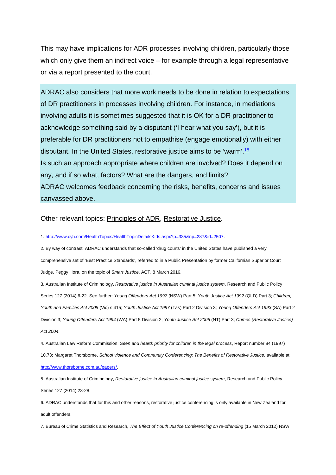This may have implications for ADR processes involving children, particularly those which only give them an indirect voice – for example through a legal representative or via a report presented to the court.

ADRAC also considers that more work needs to be done in relation to expectations of DR practitioners in processes involving children. For instance, in mediations involving adults it is sometimes suggested that it is OK for a DR practitioner to acknowledge something said by a disputant ('I hear what you say'), but it is preferable for DR practitioners not to empathise (engage emotionally) with either disputant. In the United States, restorative justice aims to be 'warm'. $18$ Is such an approach appropriate where children are involved? Does it depend on any, and if so what, factors? What are the dangers, and limits? ADRAC welcomes feedback concerning the risks, benefits, concerns and issues canvassed above.

#### Other relevant topics: Principles of ADR, Restorative Justice.

1. [http://www.cyh.com/HealthTopics/HealthTopicDetailsKids.aspx?p=335&np=287&id=2507.](http://www.cyh.com/HealthTopics/HealthTopicDetailsKids.aspx?p=335&np=287&id=2507)

2. By way of contrast, ADRAC understands that so-called 'drug courts' in the United States have published a very comprehensive set of 'Best Practice Standards', referred to in a Public Presentation by former Californian Superior Court Judge, Peggy Hora, on the topic of *Smart Justice*, ACT, 8 March 2016.

3. Australian Institute of Criminology, *Restorative justice in Australian criminal justice system*, Research and Public Policy Series 127 (2014) 6-22. See further: *Young Offenders Act 1997* (NSW) Part 5; *Youth Justice Act 1992* (QLD) Part 3; *Children, Youth and Families Act 2005* (Vic) s 415; *Youth Justice Act 1997* (Tas) Part 2 Division 3; *Young Offenders Act 1993* (SA) Part 2 Division 3; *Young Offenders Act 1994* (WA) Part 5 Division 2; *Youth Justice Act 2005* (NT) Part 3; *Crimes (Restorative Justice) Act 2004*.

4. Australian Law Reform Commission, *Seen and heard: priority for children in the legal process*, Report number 84 (1997) 10.73; Margaret Thorsborne, *School violence and Community Conferencing: The Benefits of Restorative Justice*, available at [http://www.thorsborne.com.au/papers/.](http://www.thorsborne.com.au/papers/)

5. Australian Institute of Criminology, *Restorative justice in Australian criminal justice system*, Research and Public Policy Series 127 (2014) 23-28.

6. ADRAC understands that for this and other reasons, restorative justice conferencing is only available in New Zealand for adult offenders.

7. Bureau of Crime Statistics and Research, *The Effect of Youth Justice Conferencing on re-offending* (15 March 2012) NSW